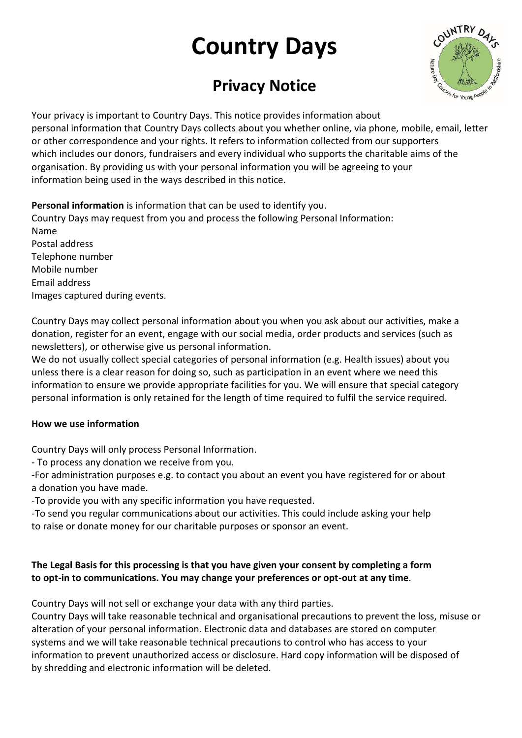# **Country Days**

# **Privacy Notice**



Your privacy is important to Country Days. This notice provides information about personal information that Country Days collects about you whether online, via phone, mobile, email, letter or other correspondence and your rights. It refers to information collected from our supporters which includes our donors, fundraisers and every individual who supports the charitable aims of the organisation. By providing us with your personal information you will be agreeing to your information being used in the ways described in this notice.

**Personal information** is information that can be used to identify you. Country Days may request from you and process the following Personal Information: Name Postal address Telephone number Mobile number Email address Images captured during events.

Country Days may collect personal information about you when you ask about our activities, make a donation, register for an event, engage with our social media, order products and services (such as newsletters), or otherwise give us personal information.

We do not usually collect special categories of personal information (e.g. Health issues) about you unless there is a clear reason for doing so, such as participation in an event where we need this information to ensure we provide appropriate facilities for you. We will ensure that special category personal information is only retained for the length of time required to fulfil the service required.

#### **How we use information**

Country Days will only process Personal Information.

- To process any donation we receive from you.

-For administration purposes e.g. to contact you about an event you have registered for or about a donation you have made.

-To provide you with any specific information you have requested.

-To send you regular communications about our activities. This could include asking your help to raise or donate money for our charitable purposes or sponsor an event.

# **The Legal Basis for this processing is that you have given your consent by completing a form to opt-in to communications. You may change your preferences or opt-out at any time**.

Country Days will not sell or exchange your data with any third parties.

Country Days will take reasonable technical and organisational precautions to prevent the loss, misuse or alteration of your personal information. Electronic data and databases are stored on computer systems and we will take reasonable technical precautions to control who has access to your information to prevent unauthorized access or disclosure. Hard copy information will be disposed of by shredding and electronic information will be deleted.